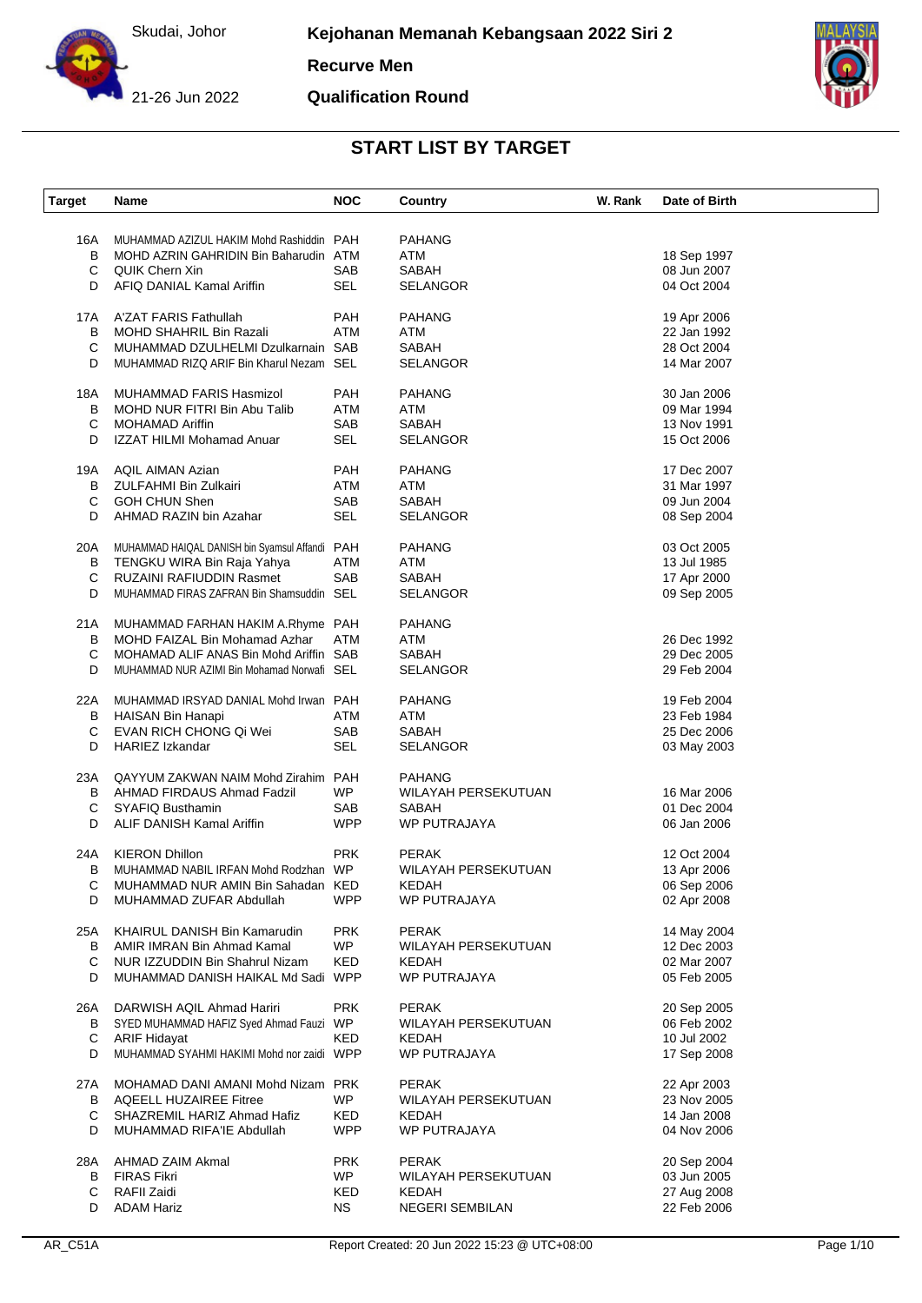

**Recurve Men**

**Qualification Round**



| <b>Target</b> | Name                                                              | <b>NOC</b>        | Country                             | W. Rank | Date of Birth              |
|---------------|-------------------------------------------------------------------|-------------------|-------------------------------------|---------|----------------------------|
|               |                                                                   |                   | <b>PAHANG</b>                       |         |                            |
| 16A           | MUHAMMAD AZIZUL HAKIM Mohd Rashiddin PAH                          |                   |                                     |         |                            |
| В             | MOHD AZRIN GAHRIDIN Bin Baharudin ATM                             |                   | ATM                                 |         | 18 Sep 1997<br>08 Jun 2007 |
| С<br>D        | <b>QUIK Chern Xin</b><br>AFIQ DANIAL Kamal Ariffin                | SAB<br><b>SEL</b> | <b>SABAH</b><br><b>SELANGOR</b>     |         | 04 Oct 2004                |
|               |                                                                   |                   |                                     |         |                            |
| 17A           | A'ZAT FARIS Fathullah                                             | PAH               | <b>PAHANG</b>                       |         | 19 Apr 2006                |
| В             | MOHD SHAHRIL Bin Razali                                           | <b>ATM</b>        | ATM                                 |         | 22 Jan 1992                |
| С             | MUHAMMAD DZULHELMI Dzulkarnain SAB                                |                   | SABAH                               |         | 28 Oct 2004                |
| D             | MUHAMMAD RIZQ ARIF Bin Kharul Nezam SEL                           |                   | <b>SELANGOR</b>                     |         | 14 Mar 2007                |
| 18A           | MUHAMMAD FARIS Hasmizol                                           | PAH               | <b>PAHANG</b>                       |         | 30 Jan 2006                |
| В             | MOHD NUR FITRI Bin Abu Talib                                      | <b>ATM</b>        | ATM                                 |         | 09 Mar 1994                |
| С             | <b>MOHAMAD Ariffin</b>                                            | SAB               | SABAH                               |         | 13 Nov 1991                |
| D             | <b>IZZAT HILMI Mohamad Anuar</b>                                  | SEL               | <b>SELANGOR</b>                     |         | 15 Oct 2006                |
| 19A           | <b>AQIL AIMAN Azian</b>                                           | PAH               | <b>PAHANG</b>                       |         | 17 Dec 2007                |
| B             | <b>ZULFAHMI Bin Zulkairi</b>                                      | ATM               | ATM                                 |         | 31 Mar 1997                |
| С             | <b>GOH CHUN Shen</b>                                              | SAB               | SABAH                               |         | 09 Jun 2004                |
| D             | AHMAD RAZIN bin Azahar                                            | <b>SEL</b>        | <b>SELANGOR</b>                     |         | 08 Sep 2004                |
|               |                                                                   |                   |                                     |         |                            |
| 20A           | MUHAMMAD HAIQAL DANISH bin Syamsul Affandi PAH                    |                   | <b>PAHANG</b>                       |         | 03 Oct 2005                |
| В             | TENGKU WIRA Bin Raja Yahya                                        | <b>ATM</b>        | ATM                                 |         | 13 Jul 1985                |
| С             | <b>RUZAINI RAFIUDDIN Rasmet</b>                                   | SAB               | SABAH                               |         | 17 Apr 2000                |
| D             | MUHAMMAD FIRAS ZAFRAN Bin Shamsuddin SEL                          |                   | <b>SELANGOR</b>                     |         | 09 Sep 2005                |
| 21 A          | MUHAMMAD FARHAN HAKIM A.Rhyme PAH                                 |                   | <b>PAHANG</b>                       |         |                            |
| B             | MOHD FAIZAL Bin Mohamad Azhar                                     | <b>ATM</b>        | ATM                                 |         | 26 Dec 1992                |
| С             | MOHAMAD ALIF ANAS Bin Mohd Ariffin SAB                            |                   | SABAH                               |         | 29 Dec 2005                |
| D             | MUHAMMAD NUR AZIMI Bin Mohamad Norwafi SEL                        |                   | <b>SELANGOR</b>                     |         | 29 Feb 2004                |
|               |                                                                   |                   |                                     |         |                            |
| 22A<br>В      | MUHAMMAD IRSYAD DANIAL Mohd Irwan PAH<br><b>HAISAN Bin Hanapi</b> | ATM               | <b>PAHANG</b><br>ATM                |         | 19 Feb 2004<br>23 Feb 1984 |
| С             | EVAN RICH CHONG Qi Wei                                            | SAB               | <b>SABAH</b>                        |         | 25 Dec 2006                |
| D             | <b>HARIEZ Izkandar</b>                                            | SEL               | <b>SELANGOR</b>                     |         | 03 May 2003                |
|               |                                                                   |                   |                                     |         |                            |
| 23A           | QAYYUM ZAKWAN NAIM Mohd Zirahim PAH                               |                   | <b>PAHANG</b>                       |         |                            |
| В             | AHMAD FIRDAUS Ahmad Fadzil                                        | <b>WP</b>         | WILAYAH PERSEKUTUAN                 |         | 16 Mar 2006                |
| С             | SYAFIQ Busthamin                                                  | SAB               | <b>SABAH</b>                        |         | 01 Dec 2004                |
| D             | ALIF DANISH Kamal Ariffin                                         | <b>WPP</b>        | WP PUTRAJAYA                        |         | 06 Jan 2006                |
| 24A           | <b>KIERON Dhillon</b>                                             | <b>PRK</b>        | <b>PERAK</b>                        |         | 12 Oct 2004                |
| В             | MUHAMMAD NABIL IRFAN Mohd Rodzhan WP                              |                   | WILAYAH PERSEKUTUAN                 |         | 13 Apr 2006                |
| С             | MUHAMMAD NUR AMIN Bin Sahadan KED                                 |                   | <b>KEDAH</b>                        |         | 06 Sep 2006                |
| D             | MUHAMMAD ZUFAR Abdullah                                           | <b>WPP</b>        | WP PUTRAJAYA                        |         | 02 Apr 2008                |
| 25A           | KHAIRUL DANISH Bin Kamarudin                                      | <b>PRK</b>        | <b>PERAK</b>                        |         | 14 May 2004                |
| B             | AMIR IMRAN Bin Ahmad Kamal                                        | WP.               | WILAYAH PERSEKUTUAN                 |         | 12 Dec 2003                |
| C             | NUR IZZUDDIN Bin Shahrul Nizam                                    | KED               | KEDAH                               |         | 02 Mar 2007                |
| D             | MUHAMMAD DANISH HAIKAL Md Sadi WPP                                |                   | WP PUTRAJAYA                        |         | 05 Feb 2005                |
|               |                                                                   |                   |                                     |         |                            |
| 26A           | DARWISH AQIL Ahmad Hariri                                         | <b>PRK</b>        | <b>PERAK</b><br>WILAYAH PERSEKUTUAN |         | 20 Sep 2005<br>06 Feb 2002 |
| B<br>С        | SYED MUHAMMAD HAFIZ Syed Ahmad Fauzi WP<br><b>ARIF Hidayat</b>    | KED               |                                     |         | 10 Jul 2002                |
| D             | MUHAMMAD SYAHMI HAKIMI Mohd nor zaidi WPP                         |                   | KEDAH<br>WP PUTRAJAYA               |         |                            |
|               |                                                                   |                   |                                     |         | 17 Sep 2008                |
| 27A           | MOHAMAD DANI AMANI Mohd Nizam PRK                                 |                   | <b>PERAK</b>                        |         | 22 Apr 2003                |
| B             | <b>AQEELL HUZAIREE Fitree</b>                                     | <b>WP</b>         | WILAYAH PERSEKUTUAN                 |         | 23 Nov 2005                |
| С             | SHAZREMIL HARIZ Ahmad Hafiz                                       | KED               | KEDAH                               |         | 14 Jan 2008                |
| D             | MUHAMMAD RIFA'IE Abdullah                                         | <b>WPP</b>        | WP PUTRAJAYA                        |         | 04 Nov 2006                |
| 28A           | AHMAD ZAIM Akmal                                                  | <b>PRK</b>        | <b>PERAK</b>                        |         | 20 Sep 2004                |
| B             | <b>FIRAS Fikri</b>                                                | <b>WP</b>         | WILAYAH PERSEKUTUAN                 |         | 03 Jun 2005                |
| С             | RAFII Zaidi                                                       | KED               | KEDAH                               |         | 27 Aug 2008                |
| D             | <b>ADAM Hariz</b>                                                 | <b>NS</b>         | <b>NEGERI SEMBILAN</b>              |         | 22 Feb 2006                |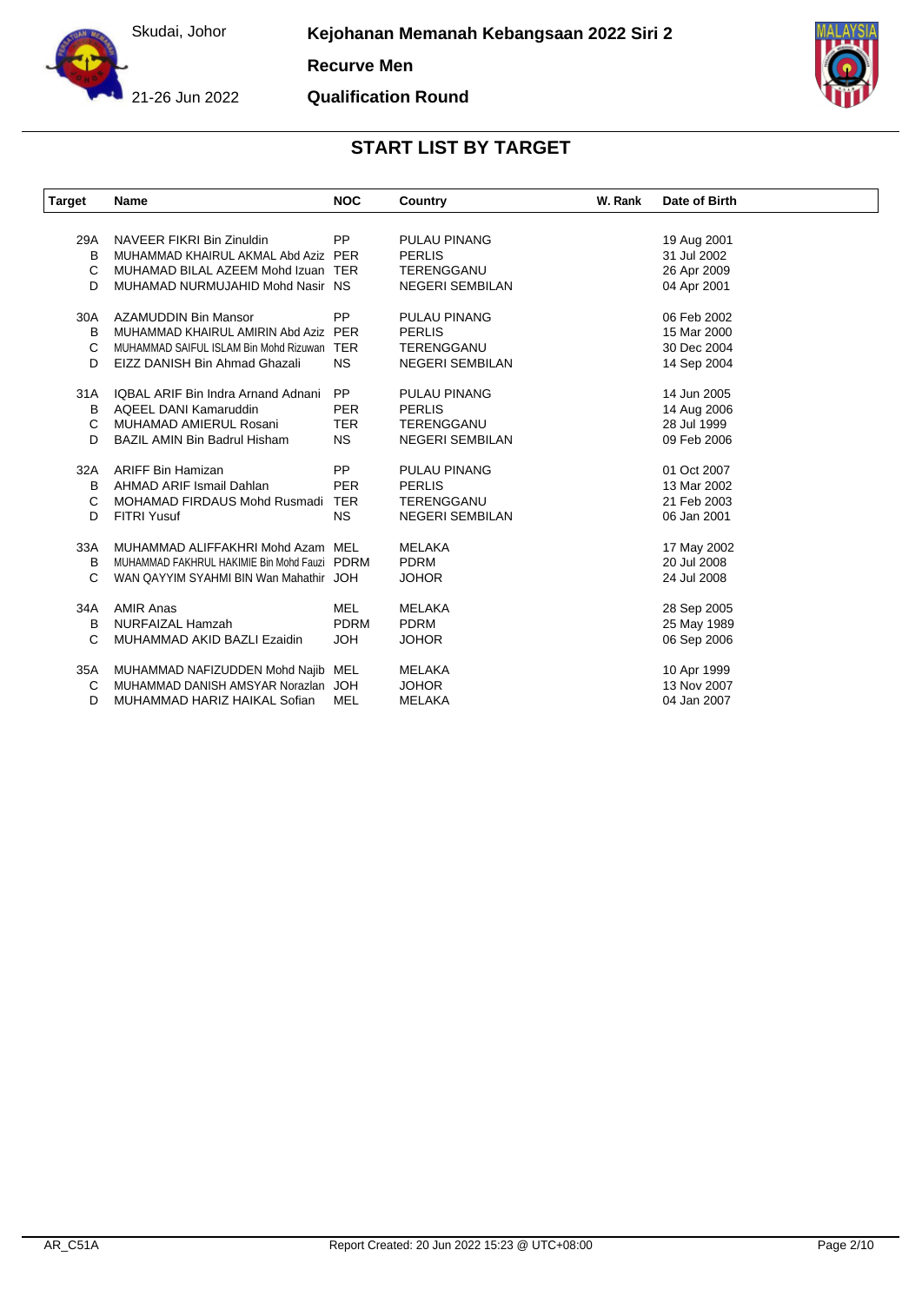

**Recurve Men**

21-26 Jun 2022

**Qualification Round**



| Target | <b>Name</b>                                  | <b>NOC</b>  | Country                | W. Rank | Date of Birth |
|--------|----------------------------------------------|-------------|------------------------|---------|---------------|
|        |                                              |             |                        |         |               |
| 29A    | NAVEER FIKRI Bin Zinuldin                    | <b>PP</b>   | <b>PULAU PINANG</b>    |         | 19 Aug 2001   |
| B      | MUHAMMAD KHAIRUL AKMAL Abd Aziz PER          |             | <b>PERLIS</b>          |         | 31 Jul 2002   |
| C      | MUHAMAD BILAL AZEEM Mohd Izuan TER           |             | TERENGGANU             |         | 26 Apr 2009   |
| D      | MUHAMAD NURMUJAHID Mohd Nasir NS             |             | <b>NEGERI SEMBILAN</b> |         | 04 Apr 2001   |
| 30A    | <b>AZAMUDDIN Bin Mansor</b>                  | <b>PP</b>   | <b>PULAU PINANG</b>    |         | 06 Feb 2002   |
| в      | MUHAMMAD KHAIRUL AMIRIN Abd Aziz             | <b>PER</b>  | <b>PERLIS</b>          |         | 15 Mar 2000   |
| С      | MUHAMMAD SAIFUL ISLAM Bin Mohd Rizuwan       | <b>TER</b>  | TERENGGANU             |         | 30 Dec 2004   |
| D      | EIZZ DANISH Bin Ahmad Ghazali                | <b>NS</b>   | <b>NEGERI SEMBILAN</b> |         | 14 Sep 2004   |
| 31A    | IQBAL ARIF Bin Indra Arnand Adnani           | PP          | <b>PULAU PINANG</b>    |         | 14 Jun 2005   |
| B      | AQEEL DANI Kamaruddin                        | <b>PER</b>  | <b>PERLIS</b>          |         | 14 Aug 2006   |
| С      | MUHAMAD AMIERUL Rosani                       | <b>TER</b>  | TERENGGANU             |         | 28 Jul 1999   |
| D      | <b>BAZIL AMIN Bin Badrul Hisham</b>          | <b>NS</b>   | <b>NEGERI SEMBILAN</b> |         | 09 Feb 2006   |
| 32A    | <b>ARIFF Bin Hamizan</b>                     | <b>PP</b>   | <b>PULAU PINANG</b>    |         | 01 Oct 2007   |
| в      | AHMAD ARIF Ismail Dahlan                     | <b>PER</b>  | <b>PERLIS</b>          |         | 13 Mar 2002   |
| C      | <b>MOHAMAD FIRDAUS Mohd Rusmadi</b>          | <b>TER</b>  | TERENGGANU             |         | 21 Feb 2003   |
| D      | <b>FITRI Yusuf</b>                           | <b>NS</b>   | <b>NEGERI SEMBILAN</b> |         | 06 Jan 2001   |
| 33A    | MUHAMMAD ALIFFAKHRI Mohd Azam MEL            |             | MELAKA                 |         | 17 May 2002   |
| в      | MUHAMMAD FAKHRUL HAKIMIE Bin Mohd Fauzi PDRM |             | <b>PDRM</b>            |         | 20 Jul 2008   |
| С      | WAN QAYYIM SYAHMI BIN Wan Mahathir JOH       |             | <b>JOHOR</b>           |         | 24 Jul 2008   |
| 34A    | <b>AMIR Anas</b>                             | <b>MEL</b>  | <b>MELAKA</b>          |         | 28 Sep 2005   |
| в      | NURFAIZAL Hamzah                             | <b>PDRM</b> | <b>PDRM</b>            |         | 25 May 1989   |
| C      | MUHAMMAD AKID BAZLI Ezaidin                  | <b>HOL</b>  | <b>JOHOR</b>           |         | 06 Sep 2006   |
| 35A    | MUHAMMAD NAFIZUDDEN Mohd Najib MEL           |             | MELAKA                 |         | 10 Apr 1999   |
| С      | MUHAMMAD DANISH AMSYAR Norazlan JOH          |             | <b>JOHOR</b>           |         | 13 Nov 2007   |
| D      | MUHAMMAD HARIZ HAIKAL Sofian                 | <b>MEL</b>  | MELAKA                 |         | 04 Jan 2007   |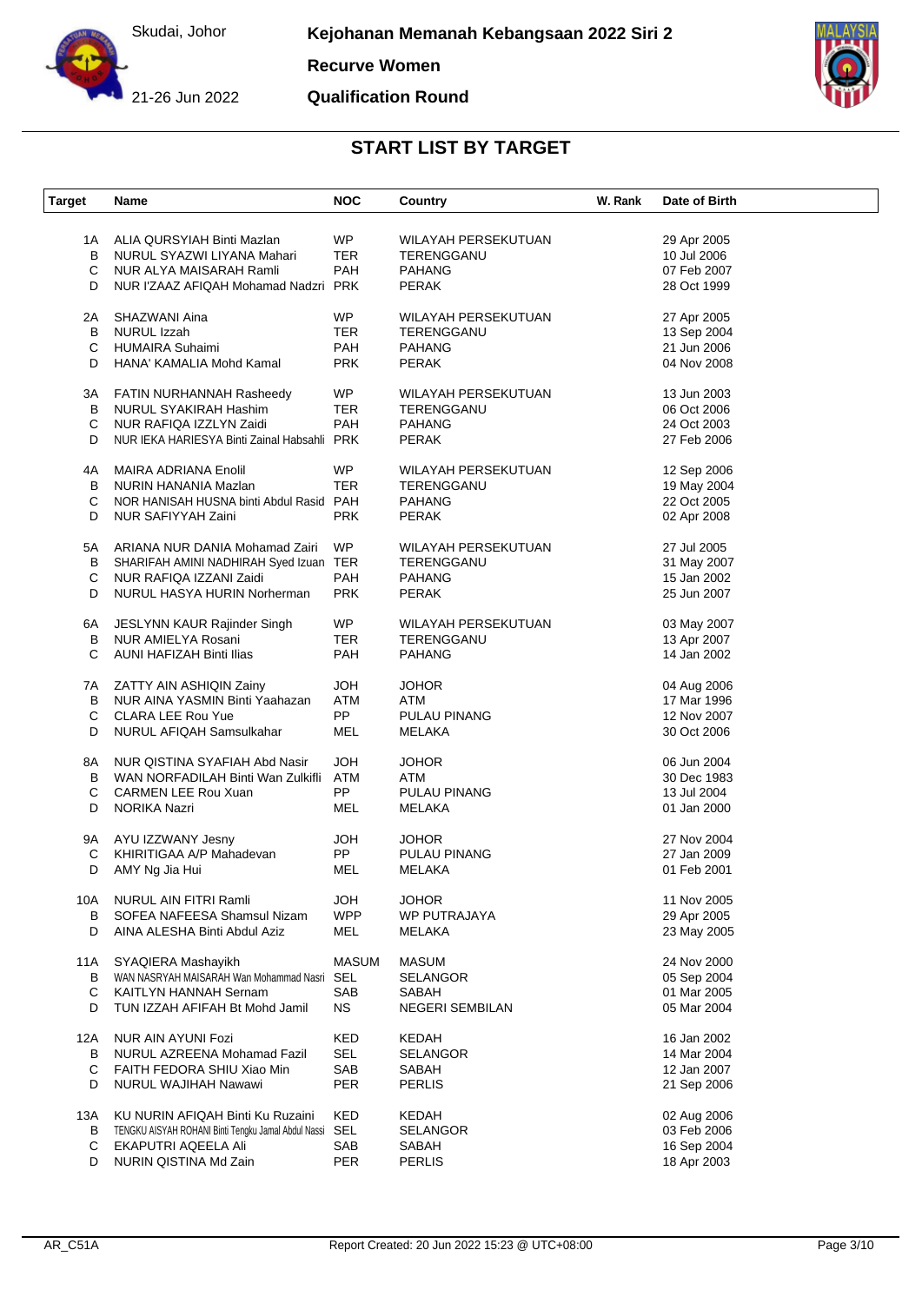

**Recurve Women**

21-26 Jun 2022

**Qualification Round**



| <b>Target</b> | Name                                                    | <b>NOC</b>   | Country                    | W. Rank | Date of Birth |
|---------------|---------------------------------------------------------|--------------|----------------------------|---------|---------------|
|               |                                                         |              |                            |         |               |
| 1A            | ALIA QURSYIAH Binti Mazlan                              | WP           | WILAYAH PERSEKUTUAN        |         | 29 Apr 2005   |
| B             | NURUL SYAZWI LIYANA Mahari                              | <b>TER</b>   | TERENGGANU                 |         | 10 Jul 2006   |
| С             | NUR ALYA MAISARAH Ramli                                 | PAH          | <b>PAHANG</b>              |         | 07 Feb 2007   |
| D             | NUR I'ZAAZ AFIQAH Mohamad Nadzri PRK                    |              | <b>PERAK</b>               |         | 28 Oct 1999   |
| 2A            | SHAZWANI Aina                                           | <b>WP</b>    | <b>WILAYAH PERSEKUTUAN</b> |         | 27 Apr 2005   |
| B             | NURUL Izzah                                             | <b>TER</b>   | TERENGGANU                 |         | 13 Sep 2004   |
| С             | <b>HUMAIRA Suhaimi</b>                                  | <b>PAH</b>   | <b>PAHANG</b>              |         | 21 Jun 2006   |
| D             | HANA' KAMALIA Mohd Kamal                                | <b>PRK</b>   | <b>PERAK</b>               |         | 04 Nov 2008   |
| 3A            | FATIN NURHANNAH Rasheedy                                | <b>WP</b>    | WILAYAH PERSEKUTUAN        |         | 13 Jun 2003   |
| B             | NURUL SYAKIRAH Hashim                                   | <b>TER</b>   | TERENGGANU                 |         | 06 Oct 2006   |
|               |                                                         | PAH          |                            |         |               |
| С             | NUR RAFIQA IZZLYN Zaidi                                 |              | <b>PAHANG</b>              |         | 24 Oct 2003   |
| D             | NUR IEKA HARIESYA Binti Zainal Habsahli PRK             |              | <b>PERAK</b>               |         | 27 Feb 2006   |
| 4A            | MAIRA ADRIANA Enolil                                    | <b>WP</b>    | WILAYAH PERSEKUTUAN        |         | 12 Sep 2006   |
| B             | NURIN HANANIA Mazlan                                    | TER          | TERENGGANU                 |         | 19 May 2004   |
| C             | NOR HANISAH HUSNA binti Abdul Rasid PAH                 |              | <b>PAHANG</b>              |         | 22 Oct 2005   |
| D             | NUR SAFIYYAH Zaini                                      | <b>PRK</b>   | <b>PERAK</b>               |         | 02 Apr 2008   |
| 5A            | ARIANA NUR DANIA Mohamad Zairi                          | <b>WP</b>    | WILAYAH PERSEKUTUAN        |         | 27 Jul 2005   |
| B             | SHARIFAH AMINI NADHIRAH Syed Izuan TER                  |              | TERENGGANU                 |         | 31 May 2007   |
| С             | NUR RAFIQA IZZANI Zaidi                                 | PAH          | <b>PAHANG</b>              |         | 15 Jan 2002   |
|               |                                                         |              |                            |         |               |
| D             | NURUL HASYA HURIN Norherman                             | <b>PRK</b>   | <b>PERAK</b>               |         | 25 Jun 2007   |
| 6A            | JESLYNN KAUR Rajinder Singh                             | <b>WP</b>    | WILAYAH PERSEKUTUAN        |         | 03 May 2007   |
| в             | NUR AMIELYA Rosani                                      | TER          | TERENGGANU                 |         | 13 Apr 2007   |
| C             | AUNI HAFIZAH Binti Ilias                                | PAH          | <b>PAHANG</b>              |         | 14 Jan 2002   |
|               |                                                         |              |                            |         |               |
| 7A            | ZATTY AIN ASHIQIN Zainy                                 | <b>HOL</b>   | <b>JOHOR</b>               |         | 04 Aug 2006   |
| B             | NUR AINA YASMIN Binti Yaahazan                          | <b>ATM</b>   | ATM                        |         | 17 Mar 1996   |
| С             | <b>CLARA LEE Rou Yue</b>                                | <b>PP</b>    | PULAU PINANG               |         | 12 Nov 2007   |
| D             | NURUL AFIQAH Samsulkahar                                | MEL          | MELAKA                     |         | 30 Oct 2006   |
| 8A            | NUR QISTINA SYAFIAH Abd Nasir                           | <b>HOL</b>   | <b>JOHOR</b>               |         | 06 Jun 2004   |
| B             | WAN NORFADILAH Binti Wan Zulkifli                       | ATM          | ATM                        |         | 30 Dec 1983   |
|               |                                                         | <b>PP</b>    | PULAU PINANG               |         |               |
| С             | <b>CARMEN LEE Rou Xuan</b>                              |              |                            |         | 13 Jul 2004   |
| D             | NORIKA Nazri                                            | MEL          | MELAKA                     |         | 01 Jan 2000   |
| 9A            | AYU IZZWANY Jesny                                       | <b>HOL</b>   | <b>JOHOR</b>               |         | 27 Nov 2004   |
| С             | KHIRITIGAA A/P Mahadevan                                | PP           | PULAU PINANG               |         | 27 Jan 2009   |
| D             | AMY Ng Jia Hui                                          | MEL          | MELAKA                     |         | 01 Feb 2001   |
| 10A           | <b>NURUL AIN FITRI Ramli</b>                            | <b>HOL</b>   | <b>JOHOR</b>               |         | 11 Nov 2005   |
| B             | SOFEA NAFEESA Shamsul Nizam                             | <b>WPP</b>   | WP PUTRAJAYA               |         | 29 Apr 2005   |
| D             | AINA ALESHA Binti Abdul Aziz                            | MEL          | MELAKA                     |         | 23 May 2005   |
| 11A           | SYAQIERA Mashayikh                                      | <b>MASUM</b> | <b>MASUM</b>               |         | 24 Nov 2000   |
|               | WAN NASRYAH MAISARAH Wan Mohammad Nasri                 |              | <b>SELANGOR</b>            |         |               |
| B             |                                                         | SEL          |                            |         | 05 Sep 2004   |
| С             | KAITLYN HANNAH Sernam                                   | SAB          | SABAH                      |         | 01 Mar 2005   |
| D             | TUN IZZAH AFIFAH Bt Mohd Jamil                          | <b>NS</b>    | <b>NEGERI SEMBILAN</b>     |         | 05 Mar 2004   |
| 12A           | NUR AIN AYUNI Fozi                                      | KED          | KEDAH                      |         | 16 Jan 2002   |
| B             | NURUL AZREENA Mohamad Fazil                             | SEL          | <b>SELANGOR</b>            |         | 14 Mar 2004   |
| С             | FAITH FEDORA SHIU Xiao Min                              | SAB          | SABAH                      |         | 12 Jan 2007   |
| D             | NURUL WAJIHAH Nawawi                                    | PER          | <b>PERLIS</b>              |         | 21 Sep 2006   |
| 13A           | KU NURIN AFIQAH Binti Ku Ruzaini                        | KED          | <b>KEDAH</b>               |         | 02 Aug 2006   |
| B             | TENGKU AISYAH ROHANI Binti Tengku Jamal Abdul Nassi SEL |              | <b>SELANGOR</b>            |         | 03 Feb 2006   |
| С             | EKAPUTRI AQEELA Ali                                     | SAB          | SABAH                      |         | 16 Sep 2004   |
|               |                                                         |              |                            |         |               |
| D             | NURIN QISTINA Md Zain                                   | PER          | <b>PERLIS</b>              |         | 18 Apr 2003   |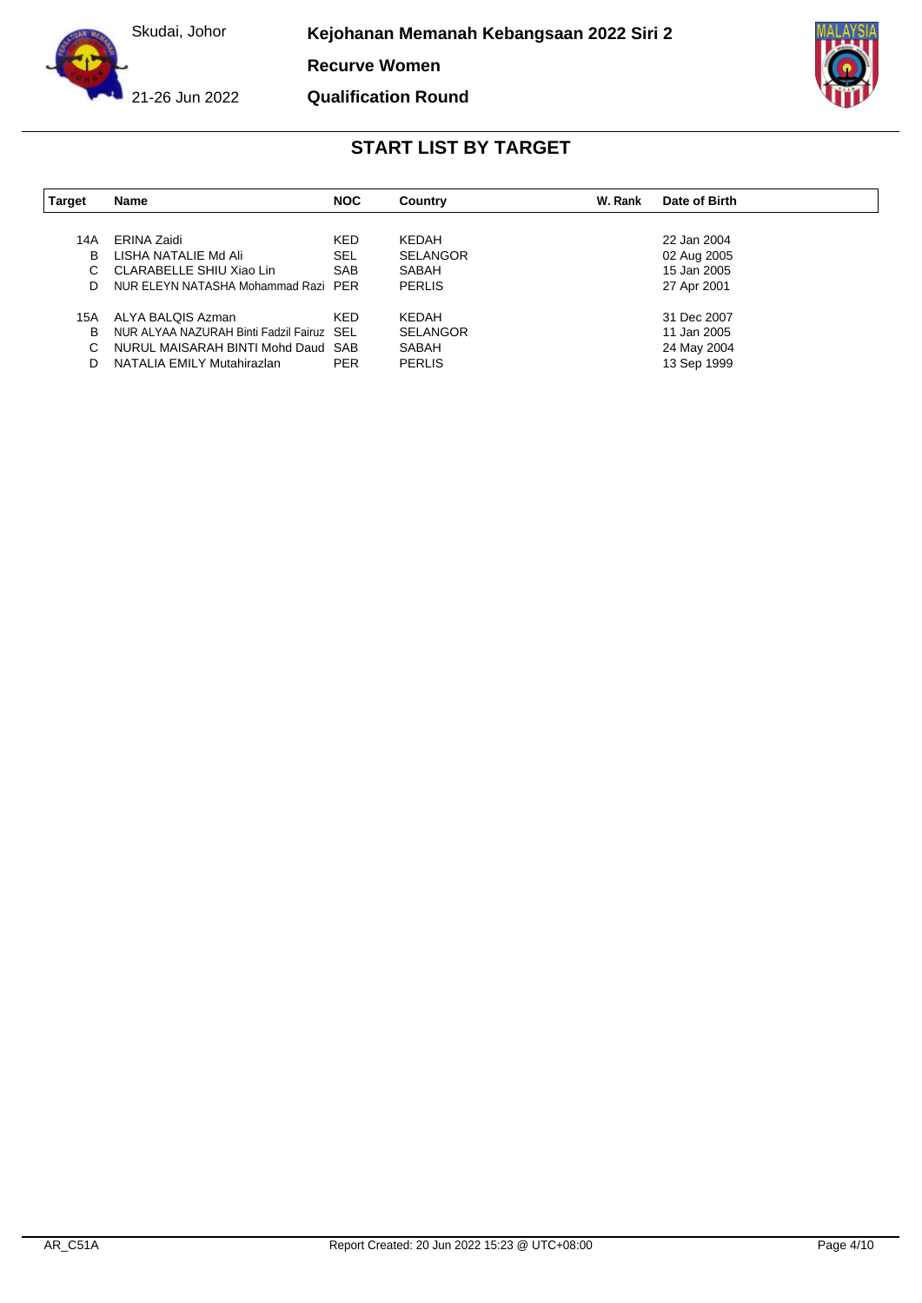

**Kejohanan Memanah Kebangsaan 2022 Siri 2**

**Recurve Women**

21-26 Jun 2022

**Qualification Round**



| Target | Name                                      | <b>NOC</b> | Country         | W. Rank | Date of Birth |
|--------|-------------------------------------------|------------|-----------------|---------|---------------|
|        |                                           |            |                 |         |               |
| 14A    | ERINA Zaidi                               | <b>KED</b> | KEDAH           |         | 22 Jan 2004   |
| В      | LISHA NATALIE Md Ali                      | <b>SEL</b> | <b>SELANGOR</b> |         | 02 Aug 2005   |
| C      | CLARABELLE SHIU Xiao Lin                  | <b>SAB</b> | SABAH           |         | 15 Jan 2005   |
| D      | NUR ELEYN NATASHA Mohammad Razi PER       |            | <b>PERLIS</b>   |         | 27 Apr 2001   |
| 15A    | ALYA BALQIS Azman                         | <b>KED</b> | KEDAH           |         | 31 Dec 2007   |
| В      | NUR ALYAA NAZURAH Binti Fadzil Fairuz SEL |            | <b>SELANGOR</b> |         | 11 Jan 2005   |
| C      | NURUL MAISARAH BINTI Mohd Daud SAB        |            | SABAH           |         | 24 May 2004   |
| D      | NATALIA EMILY Mutahirazlan                | <b>PER</b> | <b>PERLIS</b>   |         | 13 Sep 1999   |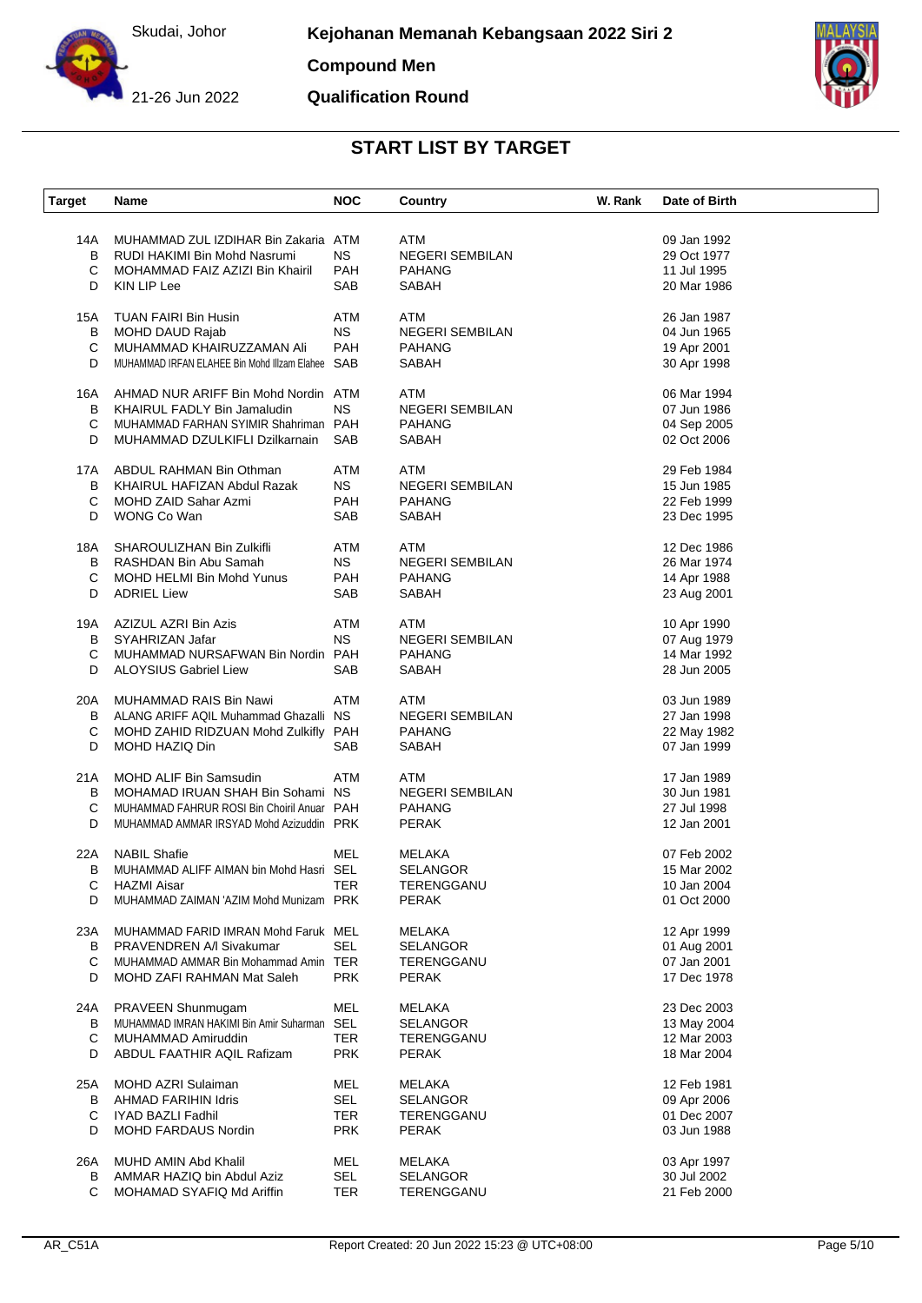

**Compound Men**

**Qualification Round**



| <b>Target</b> | <b>Name</b>                                                        | <b>NOC</b> | Country                    | W. Rank | Date of Birth              |
|---------------|--------------------------------------------------------------------|------------|----------------------------|---------|----------------------------|
| 14A           | MUHAMMAD ZUL IZDIHAR Bin Zakaria ATM                               |            | ATM                        |         | 09 Jan 1992                |
| B             | RUDI HAKIMI Bin Mohd Nasrumi                                       | NS.        | <b>NEGERI SEMBILAN</b>     |         | 29 Oct 1977                |
| C             | MOHAMMAD FAIZ AZIZI Bin Khairil                                    | <b>PAH</b> | <b>PAHANG</b>              |         | 11 Jul 1995                |
| D             | KIN LIP Lee                                                        | SAB        | SABAH                      |         | 20 Mar 1986                |
|               |                                                                    |            |                            |         |                            |
| 15A           | TUAN FAIRI Bin Husin                                               | <b>ATM</b> | ATM                        |         | 26 Jan 1987                |
| В             | <b>MOHD DAUD Rajab</b>                                             | <b>NS</b>  | <b>NEGERI SEMBILAN</b>     |         | 04 Jun 1965                |
| С             | MUHAMMAD KHAIRUZZAMAN Ali                                          | PAH        | <b>PAHANG</b>              |         | 19 Apr 2001                |
| D             | MUHAMMAD IRFAN ELAHEE Bin Mohd Illzam Elahee SAB                   |            | <b>SABAH</b>               |         | 30 Apr 1998                |
| 16A           | AHMAD NUR ARIFF Bin Mohd Nordin ATM                                |            | ATM                        |         | 06 Mar 1994                |
| B             | KHAIRUL FADLY Bin Jamaludin                                        | <b>NS</b>  | <b>NEGERI SEMBILAN</b>     |         | 07 Jun 1986                |
| C             | MUHAMMAD FARHAN SYIMIR Shahriman PAH                               |            | <b>PAHANG</b>              |         | 04 Sep 2005                |
| D             | MUHAMMAD DZULKIFLI Dzilkarnain                                     | SAB        | SABAH                      |         | 02 Oct 2006                |
| 17A           | ABDUL RAHMAN Bin Othman                                            | <b>ATM</b> | ATM                        |         | 29 Feb 1984                |
| B             | KHAIRUL HAFIZAN Abdul Razak                                        | <b>NS</b>  | <b>NEGERI SEMBILAN</b>     |         | 15 Jun 1985                |
| C             | MOHD ZAID Sahar Azmi                                               | <b>PAH</b> | <b>PAHANG</b>              |         | 22 Feb 1999                |
| D             | WONG Co Wan                                                        | SAB        | SABAH                      |         | 23 Dec 1995                |
|               |                                                                    |            |                            |         |                            |
| 18A           | SHAROULIZHAN Bin Zulkifli                                          | ATM        | ATM                        |         | 12 Dec 1986                |
|               | B RASHDAN Bin Abu Samah                                            | <b>NS</b>  | <b>NEGERI SEMBILAN</b>     |         | 26 Mar 1974                |
| С             | MOHD HELMI Bin Mohd Yunus                                          | <b>PAH</b> | <b>PAHANG</b>              |         | 14 Apr 1988                |
| D             | <b>ADRIEL Liew</b>                                                 | SAB        | <b>SABAH</b>               |         | 23 Aug 2001                |
| 19A           | AZIZUL AZRI Bin Azis                                               | <b>ATM</b> | ATM                        |         | 10 Apr 1990                |
| В             | SYAHRIZAN Jafar                                                    | <b>NS</b>  | <b>NEGERI SEMBILAN</b>     |         | 07 Aug 1979                |
| С             | MUHAMMAD NURSAFWAN Bin Nordin PAH                                  |            | <b>PAHANG</b>              |         | 14 Mar 1992                |
| D             | <b>ALOYSIUS Gabriel Liew</b>                                       | SAB        | SABAH                      |         | 28 Jun 2005                |
|               |                                                                    |            |                            |         |                            |
| 20A           | MUHAMMAD RAIS Bin Nawi                                             | <b>ATM</b> | <b>ATM</b>                 |         | 03 Jun 1989                |
| В             | ALANG ARIFF AQIL Muhammad Ghazalli                                 | <b>NS</b>  | <b>NEGERI SEMBILAN</b>     |         | 27 Jan 1998                |
| С             | MOHD ZAHID RIDZUAN Mohd Zulkifly PAH                               |            | <b>PAHANG</b>              |         | 22 May 1982                |
| D             | MOHD HAZIQ Din                                                     | SAB        | <b>SABAH</b>               |         | 07 Jan 1999                |
| 21A           | <b>MOHD ALIF Bin Samsudin</b>                                      | <b>ATM</b> | ATM                        |         | 17 Jan 1989                |
| B             | MOHAMAD IRUAN SHAH Bin Sohami NS                                   |            | <b>NEGERI SEMBILAN</b>     |         | 30 Jun 1981                |
| С             | MUHAMMAD FAHRUR ROSI Bin Choiril Anuar PAH                         |            | <b>PAHANG</b>              |         | 27 Jul 1998                |
| D             | MUHAMMAD AMMAR IRSYAD Mohd Azizuddin PRK                           |            | <b>PERAK</b>               |         | 12 Jan 2001                |
| 22A           | <b>NABIL Shafie</b>                                                | MEL        | MELAKA                     |         | 07 Feb 2002                |
| В             | MUHAMMAD ALIFF AIMAN bin Mohd Hasri SEL                            |            | <b>SELANGOR</b>            |         | 15 Mar 2002                |
| С             | <b>HAZMI</b> Aisar                                                 | TER        | TERENGGANU                 |         | 10 Jan 2004                |
| D             | MUHAMMAD ZAIMAN 'AZIM Mohd Munizam PRK                             |            | <b>PERAK</b>               |         | 01 Oct 2000                |
|               |                                                                    |            |                            |         |                            |
| 23A           | MUHAMMAD FARID IMRAN Mohd Faruk MEL                                | <b>SEL</b> | MELAKA                     |         | 12 Apr 1999                |
| В<br>C        | PRAVENDREN A/I Sivakumar                                           |            | <b>SELANGOR</b>            |         | 01 Aug 2001                |
| D             | MUHAMMAD AMMAR Bin Mohammad Amin TER<br>MOHD ZAFI RAHMAN Mat Saleh | <b>PRK</b> | TERENGGANU<br><b>PERAK</b> |         | 07 Jan 2001<br>17 Dec 1978 |
|               |                                                                    |            |                            |         |                            |
| 24A           | PRAVEEN Shunmugam                                                  | <b>MEL</b> | <b>MELAKA</b>              |         | 23 Dec 2003                |
| B             | MUHAMMAD IMRAN HAKIMI Bin Amir Suharman                            | SEL        | <b>SELANGOR</b>            |         | 13 May 2004                |
| С             | MUHAMMAD Amiruddin                                                 | TER        | TERENGGANU                 |         | 12 Mar 2003                |
| D             | ABDUL FAATHIR AQIL Rafizam                                         | <b>PRK</b> | <b>PERAK</b>               |         | 18 Mar 2004                |
| 25A           | <b>MOHD AZRI Sulaiman</b>                                          | MEL        | MELAKA                     |         | 12 Feb 1981                |
| В             | AHMAD FARIHIN Idris                                                | SEL        | <b>SELANGOR</b>            |         | 09 Apr 2006                |
| С             | IYAD BAZLI Fadhil                                                  | TER        | TERENGGANU                 |         | 01 Dec 2007                |
| D             | <b>MOHD FARDAUS Nordin</b>                                         | <b>PRK</b> | <b>PERAK</b>               |         | 03 Jun 1988                |
|               |                                                                    |            |                            |         |                            |
| 26A           | MUHD AMIN Abd Khalil                                               | MEL        | MELAKA                     |         | 03 Apr 1997                |
| В             | AMMAR HAZIQ bin Abdul Aziz                                         | <b>SEL</b> | <b>SELANGOR</b>            |         | 30 Jul 2002                |
| С             | MOHAMAD SYAFIQ Md Ariffin                                          | <b>TER</b> | TERENGGANU                 |         | 21 Feb 2000                |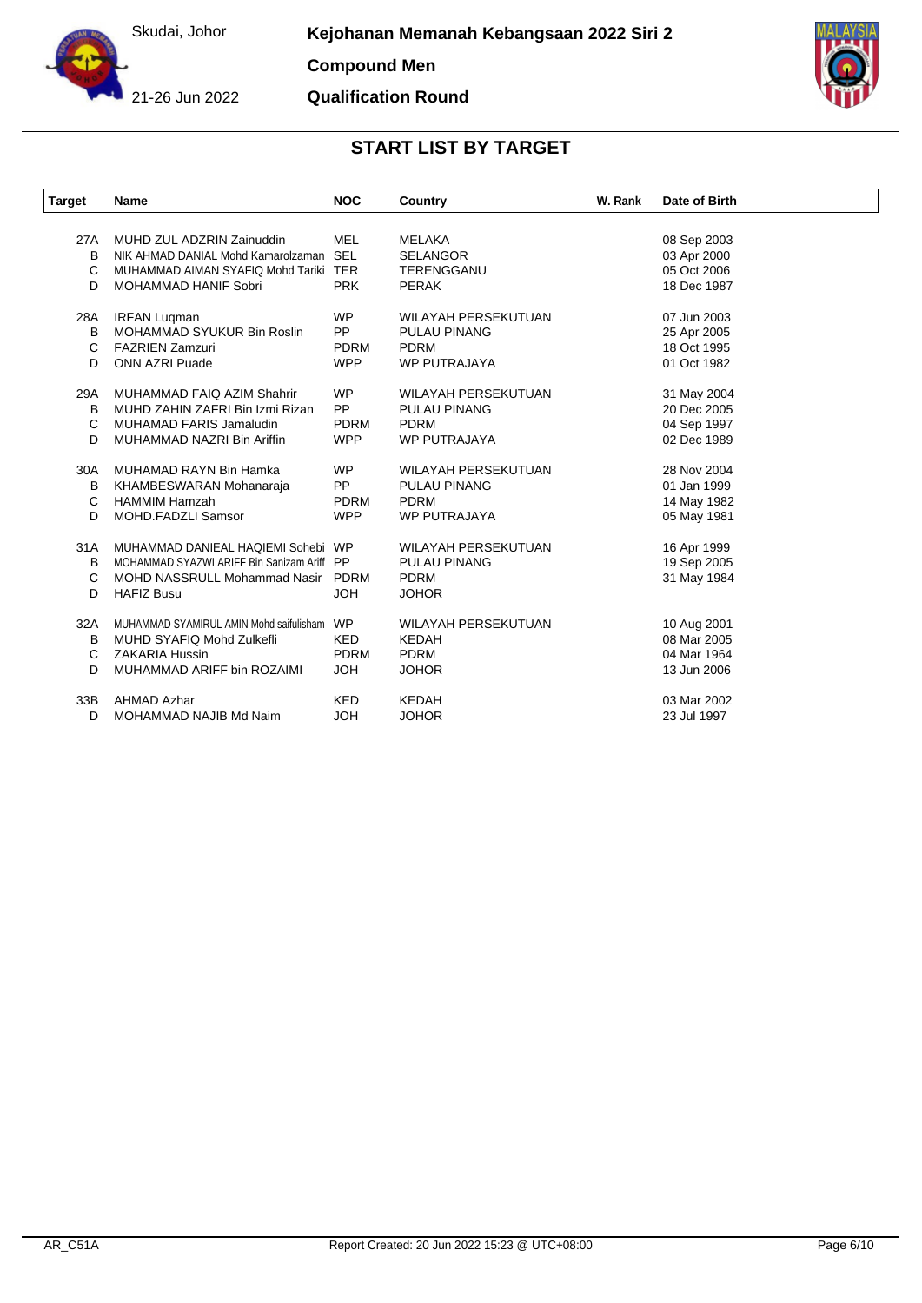

**Compound Men**

#### **Qualification Round**



| Target | Name                                       | <b>NOC</b>  | Country                    | W. Rank | Date of Birth |
|--------|--------------------------------------------|-------------|----------------------------|---------|---------------|
|        |                                            |             |                            |         |               |
| 27A    | MUHD ZUL ADZRIN Zainuddin                  | <b>MEL</b>  | <b>MELAKA</b>              |         | 08 Sep 2003   |
| B      | NIK AHMAD DANIAL Mohd Kamarolzaman SEL     |             | <b>SELANGOR</b>            |         | 03 Apr 2000   |
| C      | MUHAMMAD AIMAN SYAFIQ Mohd Tariki TER      |             | <b>TERENGGANU</b>          |         | 05 Oct 2006   |
| D      | <b>MOHAMMAD HANIF Sobri</b>                | <b>PRK</b>  | <b>PERAK</b>               |         | 18 Dec 1987   |
| 28A    | <b>IRFAN Lugman</b>                        | <b>WP</b>   | <b>WILAYAH PERSEKUTUAN</b> |         | 07 Jun 2003   |
| B      | MOHAMMAD SYUKUR Bin Roslin                 | <b>PP</b>   | <b>PULAU PINANG</b>        |         | 25 Apr 2005   |
| C      | <b>FAZRIEN Zamzuri</b>                     | <b>PDRM</b> | <b>PDRM</b>                |         | 18 Oct 1995   |
| D      | <b>ONN AZRI Puade</b>                      | <b>WPP</b>  | <b>WP PUTRAJAYA</b>        |         | 01 Oct 1982   |
| 29A    | MUHAMMAD FAIQ AZIM Shahrir                 | <b>WP</b>   | <b>WILAYAH PERSEKUTUAN</b> |         | 31 May 2004   |
| B      | MUHD ZAHIN ZAFRI Bin Izmi Rizan            | <b>PP</b>   | <b>PULAU PINANG</b>        |         | 20 Dec 2005   |
| C      | <b>MUHAMAD FARIS Jamaludin</b>             | <b>PDRM</b> | <b>PDRM</b>                |         | 04 Sep 1997   |
| D      | MUHAMMAD NAZRI Bin Ariffin                 | <b>WPP</b>  | <b>WP PUTRAJAYA</b>        |         | 02 Dec 1989   |
|        |                                            |             |                            |         |               |
| 30A    | MUHAMAD RAYN Bin Hamka                     | <b>WP</b>   | <b>WILAYAH PERSEKUTUAN</b> |         | 28 Nov 2004   |
| B      | KHAMBESWARAN Mohanaraja                    | <b>PP</b>   | PULAU PINANG               |         | 01 Jan 1999   |
| C      | <b>HAMMIM Hamzah</b>                       | <b>PDRM</b> | <b>PDRM</b>                |         | 14 May 1982   |
| D      | <b>MOHD.FADZLI Samsor</b>                  | <b>WPP</b>  | <b>WP PUTRAJAYA</b>        |         | 05 May 1981   |
| 31A    | MUHAMMAD DANIEAL HAQIEMI Sohebi WP         |             | <b>WILAYAH PERSEKUTUAN</b> |         | 16 Apr 1999   |
| B      | MOHAMMAD SYAZWI ARIFF Bin Sanizam Ariff PP |             | <b>PULAU PINANG</b>        |         | 19 Sep 2005   |
| C      | MOHD NASSRULL Mohammad Nasir PDRM          |             | <b>PDRM</b>                |         | 31 May 1984   |
| D      | <b>HAFIZ Busu</b>                          | <b>JOH</b>  | <b>JOHOR</b>               |         |               |
| 32A    | MUHAMMAD SYAMIRUL AMIN Mohd saifulisham    | <b>WP</b>   | <b>WILAYAH PERSEKUTUAN</b> |         | 10 Aug 2001   |
| B      | MUHD SYAFIQ Mohd Zulkefli                  | <b>KED</b>  | <b>KEDAH</b>               |         | 08 Mar 2005   |
| C      | <b>ZAKARIA Hussin</b>                      | <b>PDRM</b> | <b>PDRM</b>                |         | 04 Mar 1964   |
| D      | MUHAMMAD ARIFF bin ROZAIMI                 | <b>HOL</b>  | <b>JOHOR</b>               |         | 13 Jun 2006   |
|        |                                            |             |                            |         |               |
| 33B    | <b>AHMAD Azhar</b>                         | <b>KED</b>  | <b>KEDAH</b>               |         | 03 Mar 2002   |
| D      | MOHAMMAD NAJIB Md Naim                     | <b>JOH</b>  | <b>JOHOR</b>               |         | 23 Jul 1997   |
|        |                                            |             |                            |         |               |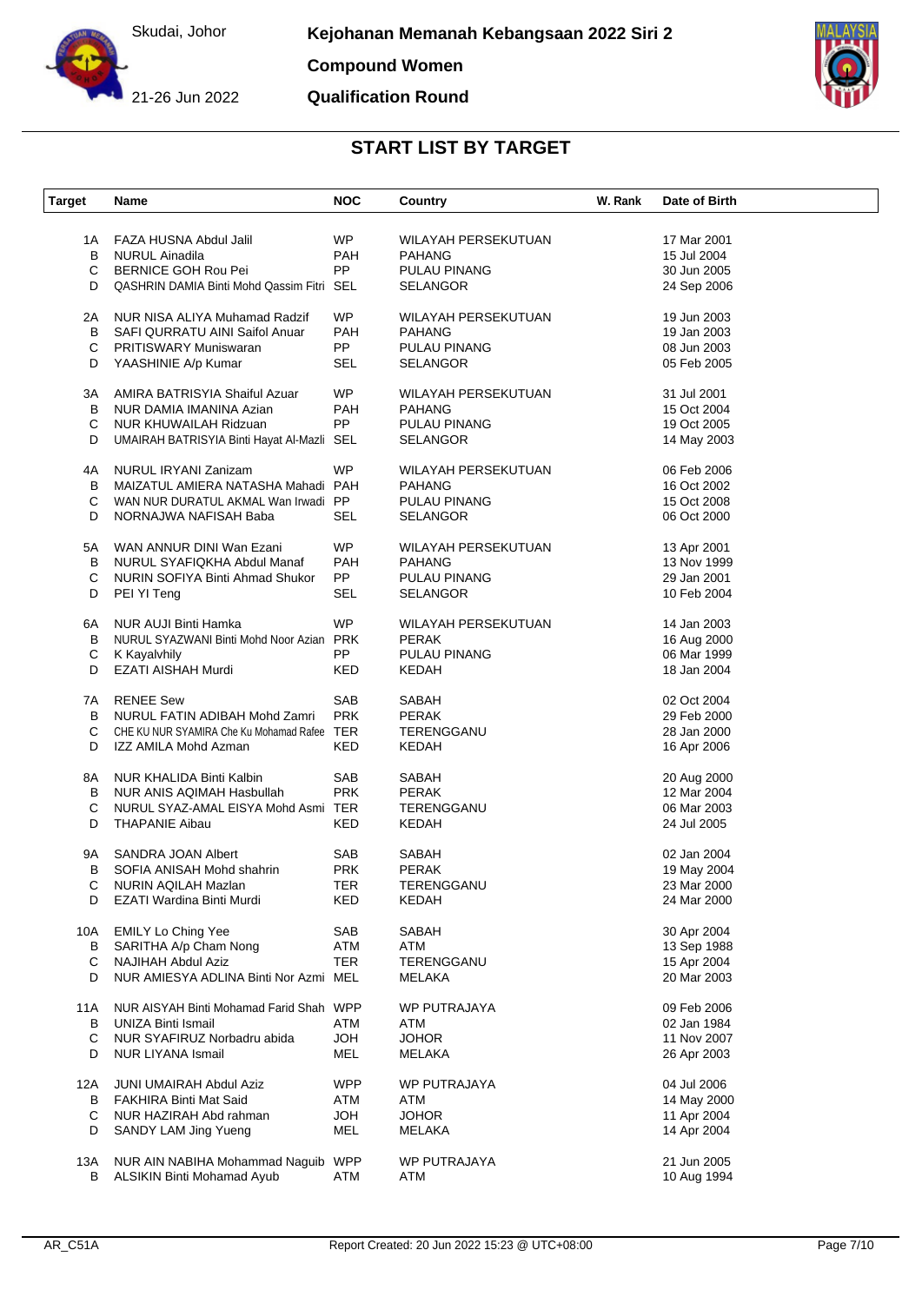

**Compound Women**

21-26 Jun 2022

### **Qualification Round**



| <b>Target</b> | Name                                        | <b>NOC</b> | Country                    | W. Rank | Date of Birth |
|---------------|---------------------------------------------|------------|----------------------------|---------|---------------|
|               |                                             |            |                            |         |               |
| 1A            | FAZA HUSNA Abdul Jalil                      | <b>WP</b>  | WILAYAH PERSEKUTUAN        |         | 17 Mar 2001   |
| B             | <b>NURUL Ainadila</b>                       | PAH        | <b>PAHANG</b>              |         | 15 Jul 2004   |
| C             | BERNICE GOH Rou Pei                         | PP         | PULAU PINANG               |         | 30 Jun 2005   |
| D             | QASHRIN DAMIA Binti Mohd Qassim Fitri SEL   |            | <b>SELANGOR</b>            |         | 24 Sep 2006   |
| 2A            | NUR NISA ALIYA Muhamad Radzif               | <b>WP</b>  | WILAYAH PERSEKUTUAN        |         | 19 Jun 2003   |
| В             | SAFI QURRATU AINI Saifol Anuar              | <b>PAH</b> | <b>PAHANG</b>              |         | 19 Jan 2003   |
|               | <b>PRITISWARY Muniswaran</b>                | PP         |                            |         | 08 Jun 2003   |
| С             |                                             |            | PULAU PINANG               |         |               |
| D             | YAASHINIE A/p Kumar                         | SEL        | <b>SELANGOR</b>            |         | 05 Feb 2005   |
| ЗΑ            | AMIRA BATRISYIA Shaiful Azuar               | <b>WP</b>  | WILAYAH PERSEKUTUAN        |         | 31 Jul 2001   |
| В             | NUR DAMIA IMANINA Azian                     | <b>PAH</b> | <b>PAHANG</b>              |         | 15 Oct 2004   |
| С             | NUR KHUWAILAH Ridzuan                       | PP         | PULAU PINANG               |         | 19 Oct 2005   |
| D             | UMAIRAH BATRISYIA Binti Hayat Al-Mazli SEL  |            | <b>SELANGOR</b>            |         | 14 May 2003   |
| 4A            | NURUL IRYANI Zanizam                        | WP         | WILAYAH PERSEKUTUAN        |         | 06 Feb 2006   |
| B             | MAIZATUL AMIERA NATASHA Mahadi PAH          |            | <b>PAHANG</b>              |         | 16 Oct 2002   |
| С             | WAN NUR DURATUL AKMAL Wan Irwadi PP         |            | <b>PULAU PINANG</b>        |         | 15 Oct 2008   |
|               |                                             |            |                            |         |               |
| D             | NORNAJWA NAFISAH Baba                       | SEL        | <b>SELANGOR</b>            |         | 06 Oct 2000   |
| 5A            | WAN ANNUR DINI Wan Ezani                    | WP.        | WILAYAH PERSEKUTUAN        |         | 13 Apr 2001   |
| В             | NURUL SYAFIQKHA Abdul Manaf                 | PAH        | <b>PAHANG</b>              |         | 13 Nov 1999   |
| С             | NURIN SOFIYA Binti Ahmad Shukor             | PP         | PULAU PINANG               |         | 29 Jan 2001   |
| D             | PEI YI Teng                                 | <b>SEL</b> | <b>SELANGOR</b>            |         | 10 Feb 2004   |
|               |                                             |            |                            |         |               |
| 6A            | <b>NUR AUJI Binti Hamka</b>                 | <b>WP</b>  | <b>WILAYAH PERSEKUTUAN</b> |         | 14 Jan 2003   |
| В             | NURUL SYAZWANI Binti Mohd Noor Azian PRK    |            | <b>PERAK</b>               |         | 16 Aug 2000   |
| С             | K Kayalvhily                                | PP         | PULAU PINANG               |         | 06 Mar 1999   |
| D             | EZATI AISHAH Murdi                          | <b>KED</b> | <b>KEDAH</b>               |         | 18 Jan 2004   |
|               |                                             |            |                            |         |               |
| 7A            | <b>RENEE Sew</b>                            | SAB        | SABAH                      |         | 02 Oct 2004   |
| B             | NURUL FATIN ADIBAH Mohd Zamri               | <b>PRK</b> | <b>PERAK</b>               |         | 29 Feb 2000   |
| С             | CHE KU NUR SYAMIRA Che Ku Mohamad Rafee TER |            | TERENGGANU                 |         | 28 Jan 2000   |
| D             | IZZ AMILA Mohd Azman                        | KED        | KEDAH                      |         | 16 Apr 2006   |
| 8A            | NUR KHALIDA Binti Kalbin                    | SAB        | SABAH                      |         | 20 Aug 2000   |
|               |                                             | <b>PRK</b> | <b>PERAK</b>               |         | 12 Mar 2004   |
| B             | NUR ANIS AQIMAH Hasbullah                   |            |                            |         |               |
| С             | NURUL SYAZ-AMAL EISYA Mohd Asmi TER         |            | TERENGGANU                 |         | 06 Mar 2003   |
| D             | <b>THAPANIE Aibau</b>                       | KED        | KEDAH                      |         | 24 Jul 2005   |
| 9Α            | SANDRA JOAN Albert                          | SAB        | SABAH                      |         | 02 Jan 2004   |
| в             | SOFIA ANISAH Mohd shahrin                   | <b>PRK</b> | <b>PERAK</b>               |         | 19 May 2004   |
| С             | NURIN AQILAH Mazlan                         | TER        | TERENGGANU                 |         | 23 Mar 2000   |
| D             | EZATI Wardina Binti Murdi                   | KED        | KEDAH                      |         | 24 Mar 2000   |
| 10A           | <b>EMILY Lo Ching Yee</b>                   | SAB        | SABAH                      |         | 30 Apr 2004   |
| B             | SARITHA A/p Cham Nong                       | ATM        | ATM                        |         | 13 Sep 1988   |
|               | <b>NAJIHAH Abdul Aziz</b>                   |            |                            |         |               |
| С             |                                             | <b>TER</b> | TERENGGANU                 |         | 15 Apr 2004   |
| D             | NUR AMIESYA ADLINA Binti Nor Azmi MEL       |            | MELAKA                     |         | 20 Mar 2003   |
| 11A           | NUR AISYAH Binti Mohamad Farid Shah WPP     |            | WP PUTRAJAYA               |         | 09 Feb 2006   |
| В             | <b>UNIZA Binti Ismail</b>                   | ATM        | ATM                        |         | 02 Jan 1984   |
| С             | NUR SYAFIRUZ Norbadru abida                 | <b>HOL</b> | <b>JOHOR</b>               |         | 11 Nov 2007   |
| D             | <b>NUR LIYANA Ismail</b>                    | MEL        | <b>MELAKA</b>              |         | 26 Apr 2003   |
| 12A           | <b>JUNI UMAIRAH Abdul Aziz</b>              | <b>WPP</b> | WP PUTRAJAYA               |         | 04 Jul 2006   |
|               |                                             |            |                            |         |               |
| В             | <b>FAKHIRA Binti Mat Said</b>               | ATM        | ATM                        |         | 14 May 2000   |
| C             | NUR HAZIRAH Abd rahman                      | <b>HOL</b> | <b>JOHOR</b>               |         | 11 Apr 2004   |
| D             | SANDY LAM Jing Yueng                        | MEL        | MELAKA                     |         | 14 Apr 2004   |
| 13A           | NUR AIN NABIHA Mohammad Naguib WPP          |            | WP PUTRAJAYA               |         | 21 Jun 2005   |
| В             | ALSIKIN Binti Mohamad Ayub                  | ATM        | ATM                        |         | 10 Aug 1994   |
|               |                                             |            |                            |         |               |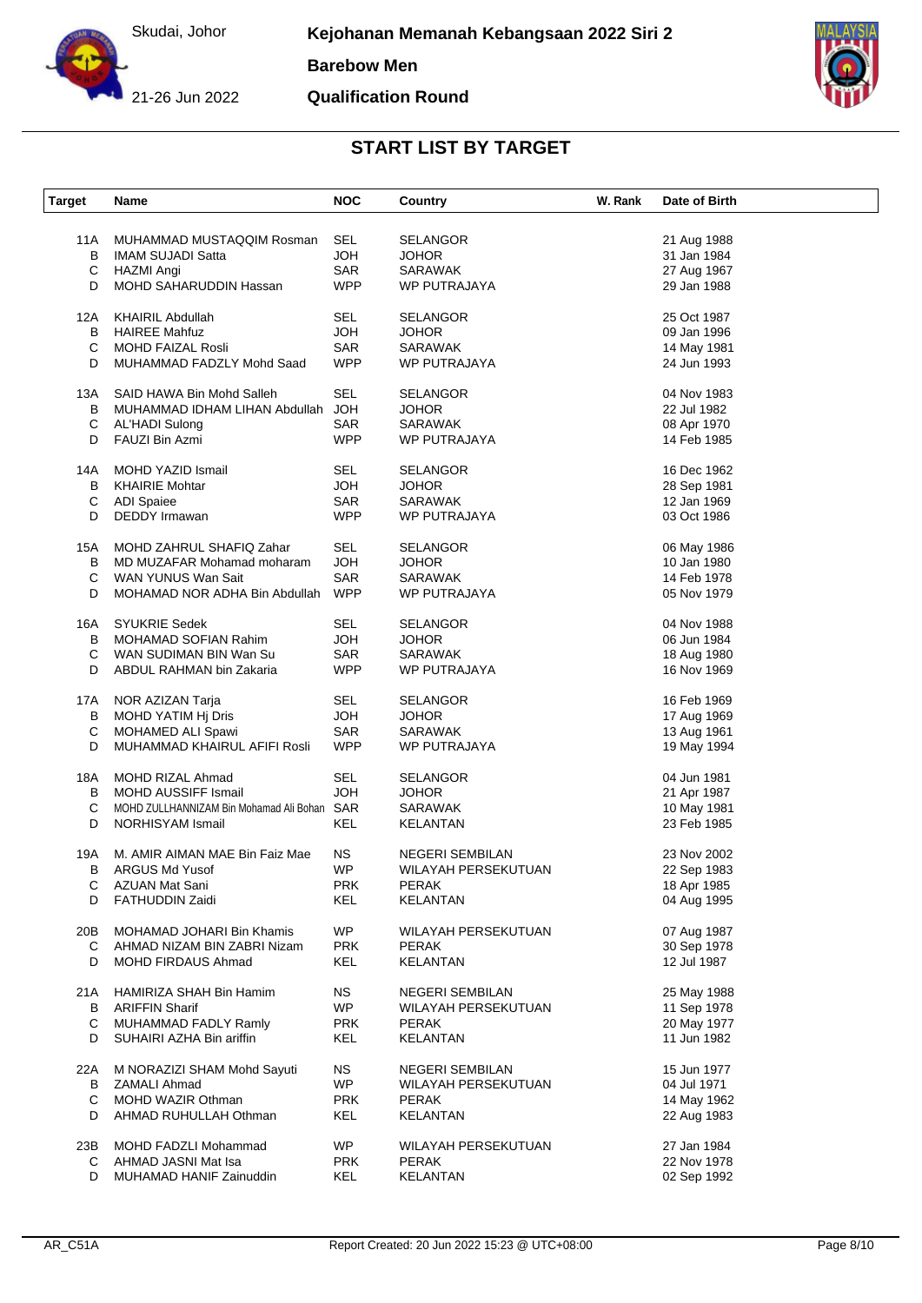

**Barebow Men**

**Qualification Round**



| <b>Target</b> | Name                                        | <b>NOC</b> | Country                | W. Rank | Date of Birth |
|---------------|---------------------------------------------|------------|------------------------|---------|---------------|
|               |                                             |            |                        |         |               |
| 11A           | MUHAMMAD MUSTAQQIM Rosman                   | SEL        | <b>SELANGOR</b>        |         | 21 Aug 1988   |
| В             | <b>IMAM SUJADI Satta</b>                    | HOL        | <b>JOHOR</b>           |         | 31 Jan 1984   |
| C             | HAZMI Angi                                  | SAR        | <b>SARAWAK</b>         |         | 27 Aug 1967   |
|               |                                             |            |                        |         |               |
| D             | MOHD SAHARUDDIN Hassan                      | <b>WPP</b> | WP PUTRAJAYA           |         | 29 Jan 1988   |
| 12A           | <b>KHAIRIL Abdullah</b>                     | SEL        | <b>SELANGOR</b>        |         | 25 Oct 1987   |
| B             | <b>HAIREE Mahfuz</b>                        | HOL        | <b>JOHOR</b>           |         | 09 Jan 1996   |
| C             | <b>MOHD FAIZAL Rosli</b>                    | SAR        | <b>SARAWAK</b>         |         | 14 May 1981   |
| D             | MUHAMMAD FADZLY Mohd Saad                   | <b>WPP</b> | WP PUTRAJAYA           |         | 24 Jun 1993   |
|               |                                             |            |                        |         |               |
| 13A           | SAID HAWA Bin Mohd Salleh                   | <b>SEL</b> | <b>SELANGOR</b>        |         | 04 Nov 1983   |
| В             | MUHAMMAD IDHAM LIHAN Abdullah               | <b>HOL</b> | <b>JOHOR</b>           |         | 22 Jul 1982   |
| С             | AL'HADI Sulong                              | SAR        | SARAWAK                |         | 08 Apr 1970   |
| D             | FAUZI Bin Azmi                              | <b>WPP</b> | WP PUTRAJAYA           |         | 14 Feb 1985   |
|               |                                             |            |                        |         |               |
| 14A           | MOHD YAZID Ismail                           | SEL        | <b>SELANGOR</b>        |         | 16 Dec 1962   |
| В             | <b>KHAIRIE Mohtar</b>                       | HOL        | <b>JOHOR</b>           |         | 28 Sep 1981   |
| $\mathsf C$   | <b>ADI Spaiee</b>                           | SAR        | <b>SARAWAK</b>         |         | 12 Jan 1969   |
| D             | <b>DEDDY</b> Irmawan                        | <b>WPP</b> | WP PUTRAJAYA           |         | 03 Oct 1986   |
|               |                                             |            |                        |         |               |
| 15A           | MOHD ZAHRUL SHAFIQ Zahar                    | SEL        | <b>SELANGOR</b>        |         | 06 May 1986   |
| B             | MD MUZAFAR Mohamad moharam                  | <b>HOL</b> | <b>JOHOR</b>           |         | 10 Jan 1980   |
| С             | WAN YUNUS Wan Sait                          | SAR        | <b>SARAWAK</b>         |         | 14 Feb 1978   |
| D             | MOHAMAD NOR ADHA Bin Abdullah               | <b>WPP</b> | <b>WP PUTRAJAYA</b>    |         | 05 Nov 1979   |
|               |                                             |            |                        |         |               |
| 16A           | <b>SYUKRIE Sedek</b>                        | SEL        | <b>SELANGOR</b>        |         | 04 Nov 1988   |
| B             | MOHAMAD SOFIAN Rahim                        | <b>HOL</b> | <b>JOHOR</b>           |         | 06 Jun 1984   |
|               |                                             | SAR        | SARAWAK                |         |               |
| С             | WAN SUDIMAN BIN Wan Su                      |            |                        |         | 18 Aug 1980   |
| D             | ABDUL RAHMAN bin Zakaria                    | <b>WPP</b> | WP PUTRAJAYA           |         | 16 Nov 1969   |
| 17A           | NOR AZIZAN Tarja                            | SEL        | <b>SELANGOR</b>        |         | 16 Feb 1969   |
| В             | MOHD YATIM Hj Dris                          | <b>HOL</b> | <b>JOHOR</b>           |         | 17 Aug 1969   |
| C             | MOHAMED ALI Spawi                           | SAR        | <b>SARAWAK</b>         |         |               |
|               |                                             |            |                        |         | 13 Aug 1961   |
| D             | MUHAMMAD KHAIRUL AFIFI Rosli                | <b>WPP</b> | WP PUTRAJAYA           |         | 19 May 1994   |
| 18A           | MOHD RIZAL Ahmad                            | SEL        | <b>SELANGOR</b>        |         | 04 Jun 1981   |
| В             | <b>MOHD AUSSIFF Ismail</b>                  | HOL        | <b>JOHOR</b>           |         | 21 Apr 1987   |
| С             | MOHD ZULLHANNIZAM Bin Mohamad Ali Bohan SAR |            | SARAWAK                |         | 10 May 1981   |
| D             | <b>NORHISYAM Ismail</b>                     | KEL        | <b>KELANTAN</b>        |         | 23 Feb 1985   |
|               |                                             |            |                        |         |               |
| 19A           | M. AMIR AIMAN MAE Bin Faiz Mae              | NS.        | <b>NEGERI SEMBILAN</b> |         | 23 Nov 2002   |
| В             | <b>ARGUS Md Yusof</b>                       | <b>WP</b>  | WILAYAH PERSEKUTUAN    |         | 22 Sep 1983   |
| C             | AZUAN Mat Sani                              | <b>PRK</b> | <b>PERAK</b>           |         | 18 Apr 1985   |
| D             | FATHUDDIN Zaidi                             | KEL        | KELANTAN               |         | 04 Aug 1995   |
|               |                                             |            |                        |         |               |
| 20B           | MOHAMAD JOHARI Bin Khamis                   | <b>WP</b>  | WILAYAH PERSEKUTUAN    |         | 07 Aug 1987   |
| C             | AHMAD NIZAM BIN ZABRI Nizam                 | <b>PRK</b> | <b>PERAK</b>           |         | 30 Sep 1978   |
| D             | MOHD FIRDAUS Ahmad                          | KEL        | <b>KELANTAN</b>        |         | 12 Jul 1987   |
|               |                                             |            |                        |         |               |
| 21A           | HAMIRIZA SHAH Bin Hamim                     | ΝS         | NEGERI SEMBILAN        |         | 25 May 1988   |
| B             | <b>ARIFFIN Sharif</b>                       | WP.        | WILAYAH PERSEKUTUAN    |         | 11 Sep 1978   |
| С             | MUHAMMAD FADLY Ramly                        | <b>PRK</b> | <b>PERAK</b>           |         | 20 May 1977   |
| D             | SUHAIRI AZHA Bin ariffin                    | KEL        | <b>KELANTAN</b>        |         | 11 Jun 1982   |
| 22A           | M NORAZIZI SHAM Mohd Sayuti                 | NS.        | NEGERI SEMBILAN        |         | 15 Jun 1977   |
|               |                                             | <b>WP</b>  |                        |         |               |
| B             | <b>ZAMALI Ahmad</b>                         |            | WILAYAH PERSEKUTUAN    |         | 04 Jul 1971   |
| С             | <b>MOHD WAZIR Othman</b>                    | <b>PRK</b> | <b>PERAK</b>           |         | 14 May 1962   |
| D             | AHMAD RUHULLAH Othman                       | KEL        | <b>KELANTAN</b>        |         | 22 Aug 1983   |
| 23B           | MOHD FADZLI Mohammad                        | WP.        | WILAYAH PERSEKUTUAN    |         | 27 Jan 1984   |
| С             | AHMAD JASNI Mat Isa                         | <b>PRK</b> | PERAK                  |         | 22 Nov 1978   |
|               |                                             |            |                        |         |               |
| D             | MUHAMAD HANIF Zainuddin                     | KEL        | <b>KELANTAN</b>        |         | 02 Sep 1992   |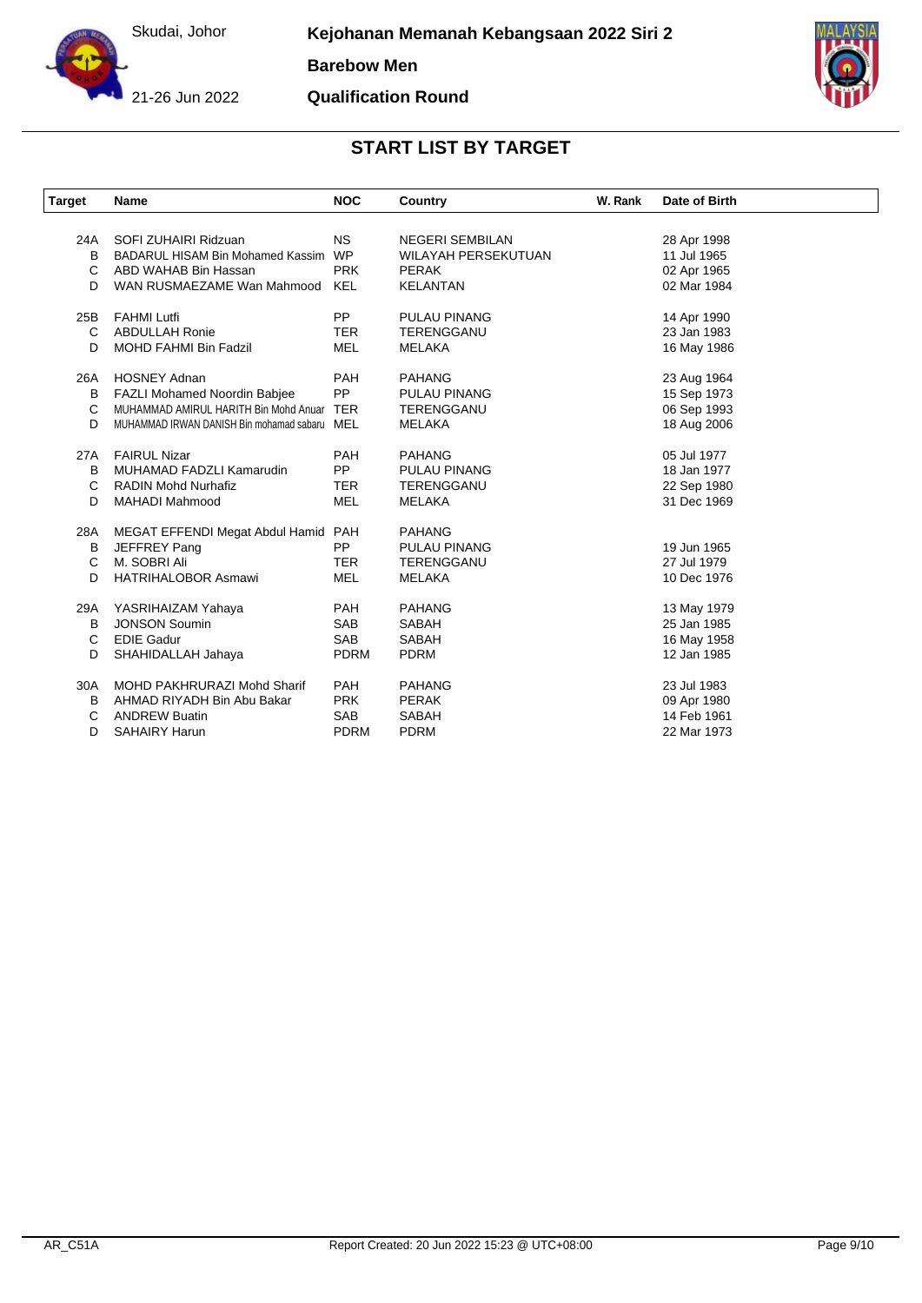

**Barebow Men**

**Qualification Round**



| <b>Target</b> | <b>Name</b>                                  | <b>NOC</b>  | Country                    | W. Rank | Date of Birth |
|---------------|----------------------------------------------|-------------|----------------------------|---------|---------------|
|               |                                              |             |                            |         |               |
| 24A           | SOFI ZUHAIRI Ridzuan                         | <b>NS</b>   | <b>NEGERI SEMBILAN</b>     |         | 28 Apr 1998   |
| B             | <b>BADARUL HISAM Bin Mohamed Kassim</b>      | <b>WP</b>   | <b>WILAYAH PERSEKUTUAN</b> |         | 11 Jul 1965   |
| C             | ABD WAHAB Bin Hassan                         | <b>PRK</b>  | <b>PERAK</b>               |         | 02 Apr 1965   |
| D             | WAN RUSMAEZAME Wan Mahmood                   | KEL         | <b>KELANTAN</b>            |         | 02 Mar 1984   |
| 25B           | <b>FAHMI Lutfi</b>                           | <b>PP</b>   | <b>PULAU PINANG</b>        |         | 14 Apr 1990   |
| C             | <b>ABDULLAH Ronie</b>                        | <b>TER</b>  | TERENGGANU                 |         | 23 Jan 1983   |
| D             | <b>MOHD FAHMI Bin Fadzil</b>                 | <b>MEL</b>  | <b>MELAKA</b>              |         | 16 May 1986   |
| 26A           | <b>HOSNEY Adnan</b>                          | <b>PAH</b>  | <b>PAHANG</b>              |         | 23 Aug 1964   |
| в             | FAZLI Mohamed Noordin Babjee                 | PP          | <b>PULAU PINANG</b>        |         | 15 Sep 1973   |
| С             | MUHAMMAD AMIRUL HARITH Bin Mohd Anuar        | <b>TER</b>  | <b>TERENGGANU</b>          |         | 06 Sep 1993   |
| D             | MUHAMMAD IRWAN DANISH Bin mohamad sabaru MEL |             | <b>MELAKA</b>              |         | 18 Aug 2006   |
| 27A           | <b>FAIRUL Nizar</b>                          | PAH         | <b>PAHANG</b>              |         | 05 Jul 1977   |
| в             | MUHAMAD FADZLI Kamarudin                     | <b>PP</b>   | <b>PULAU PINANG</b>        |         | 18 Jan 1977   |
| С             | <b>RADIN Mohd Nurhafiz</b>                   | <b>TER</b>  | <b>TERENGGANU</b>          |         | 22 Sep 1980   |
| D             | <b>MAHADI Mahmood</b>                        | <b>MEL</b>  | <b>MELAKA</b>              |         | 31 Dec 1969   |
| 28A           | MEGAT EFFENDI Megat Abdul Hamid              | PAH         | <b>PAHANG</b>              |         |               |
| в             | JEFFREY Pang                                 | <b>PP</b>   | <b>PULAU PINANG</b>        |         | 19 Jun 1965   |
| C             | M. SOBRI Ali                                 | <b>TER</b>  | <b>TERENGGANU</b>          |         | 27 Jul 1979   |
| D             | <b>HATRIHALOBOR Asmawi</b>                   | <b>MEL</b>  | <b>MELAKA</b>              |         | 10 Dec 1976   |
| 29A           | YASRIHAIZAM Yahaya                           | PAH         | <b>PAHANG</b>              |         | 13 May 1979   |
| B             | <b>JONSON Soumin</b>                         | <b>SAB</b>  | <b>SABAH</b>               |         | 25 Jan 1985   |
| C             | <b>EDIE Gadur</b>                            | <b>SAB</b>  | <b>SABAH</b>               |         | 16 May 1958   |
| D             | SHAHIDALLAH Jahaya                           | <b>PDRM</b> | <b>PDRM</b>                |         | 12 Jan 1985   |
| 30A           | MOHD PAKHRURAZI Mohd Sharif                  | PAH         | <b>PAHANG</b>              |         | 23 Jul 1983   |
| B             | AHMAD RIYADH Bin Abu Bakar                   | <b>PRK</b>  | <b>PERAK</b>               |         | 09 Apr 1980   |
| С             | <b>ANDREW Buatin</b>                         | <b>SAB</b>  | <b>SABAH</b>               |         | 14 Feb 1961   |
| D             | <b>SAHAIRY Harun</b>                         | <b>PDRM</b> | <b>PDRM</b>                |         | 22 Mar 1973   |
|               |                                              |             |                            |         |               |